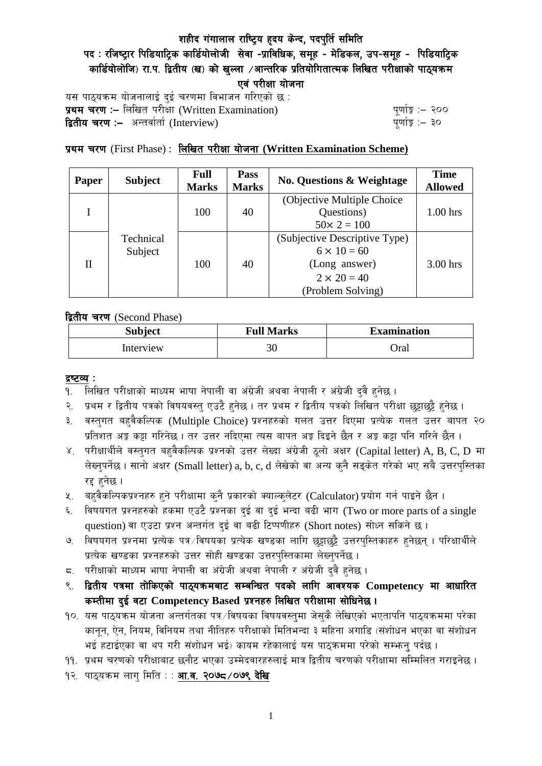# पद : रजिष्ट्रार पिडियाट्रिक कार्डियोलोजी सेवा -प्राविधिक, समूह - मेडिकल, उप-समूह - पिडियाट्रिक कार्डियोलोजि) रा.प. द्वितीय (ख) को खल्ला ⁄आन्तरिक प्रतियोगितात्मक लिखित परीक्षाको पाठ्यक्रम एवं परीक्षा योजना

यस पाठ्यक्रम योजनालाई दुई चरणमा विभाजन गरिएको छ : प्रथम चरण :- लिखित परीक्षा (Written Examination)  $\frac{d}{dx}$  and  $\frac{d}{dx}$  and  $\frac{d}{dx}$  are  $\frac{d}{dx}$ **द्वितीय चरण :–** अन्तर्वार्ता (Interview) k and the set of the set of the set of the set of the set of the set o

# प्रथम चरण (First Phase) : लिखित परीक्षा योजना (Written Examination Scheme)

| Paper | <b>Subject</b>       | <b>Full</b><br><b>Marks</b> | Pass<br><b>Marks</b> | <b>No. Questions &amp; Weightage</b> | <b>Time</b><br><b>Allowed</b> |
|-------|----------------------|-----------------------------|----------------------|--------------------------------------|-------------------------------|
|       |                      |                             |                      | (Objective Multiple Choice)          |                               |
|       |                      | 100                         | 40                   | Questions)                           | $1.00$ hrs                    |
|       | Technical<br>Subject |                             |                      | $50 \times 2 = 100$                  |                               |
| H     |                      | 100                         | 40                   | (Subjective Descriptive Type)        |                               |
|       |                      |                             |                      | $6 \times 10 = 60$                   |                               |
|       |                      |                             |                      | (Long answer)                        | 3.00 hrs                      |
|       |                      |                             |                      | $2 \times 20 = 40$                   |                               |
|       |                      |                             |                      | (Problem Solving)                    |                               |

द्वितीय चरण (Second Phase)

| <b>Subject</b> | <b>Full Marks</b> | <b>Examination</b> |  |
|----------------|-------------------|--------------------|--|
| Interview      | 30                | Oral               |  |

#### द्रष्टव्य :

- १. लिखित परीक्षाको माध्यम भाषा नेपाली वा अंग्रेजी अथवा नेपाली र अंग्रेजी द्वै हुनेछ ।
- २. प्रथम र द्वितीय पत्रको विषयवस्तु एउटै हुनेछ । तर प्रथम र द्वितीय पत्रको लिखित परीक्षा छुट्टाछुट्टै हुनेछ ।
- ३. वस्तुगत बहुवैकल्पिक (Multiple Choice) प्रश्नहरुको गलत उत्तर दिएमा प्रत्येक गलत उत्तर बापत २० प्रतिशत अङ्ग कट्टा गरिनेछ । तर उत्तर नदिएमा त्यस बापत अङ्ग दिइने छैन र अङ्ग कट्टा पनि गरिने छैन ।
- ४. परीक्षार्थीले वस्तुगत बहुवैकल्पिक प्रश्नको उत्तर लेख्दा अंग्रेजी ठूलो अक्षर (Capital letter) A, B, C, D मा लेख्नुपर्नेछ । सानो अक्षर (Small letter) a, b, c, d लेखेको वा अन्य कुनै सङ्केत गरेको भए सबै उत्तरपुस्तिका रद्द हनेछ ।
- ५. वहवैकल्पिकप्रश्नहरु हुने परीक्षामा कुनै प्रकारको क्याल्कुलेटर (Calculator) प्रयोग गर्न पाइने छैन ।
- ६. विषयगत प्रश्नहरुको हकमा एउटै प्रश्नका दुई वा दुई भन्दा बढी भाग (Two or more parts of a single question) वा एउटा प्रश्न अन्तर्गत दई वा बढी टिप्पणीहरु (Short notes) सोध्न सकिने छ।
- ७. विषयगत प्रश्नमा प्रत्येक पत्र विषयका प्रत्येक खण्डका लागि छड़ाछड़ै उत्तरपस्तिकाहरु हनेछन । परिक्षार्थीले प्रत्येक खण्डका प्रश्नहरुको उत्तर सोही खण्डका उत्तरपस्तिकामा लेख्नपर्नेछ ।
- $\,$ द. परीक्षाको माध्यम भाषा नेपाली वा अंग्रेजी अथवा नेपाली र अंग्रेजी द्वै हुनेछ ।
- ९. द्वितीय पत्रमा तोकिएको पाठ्यक्रमबाट सम्बन्धित पदको लागि आवश्यक Competency मा आधारित कम्तीमा दई वटा Competency Based प्रश्नहरु लिखित परीक्षामा सोधिनेछ।
- $10.$  यस पाठ्यक्रम योजना अन्तर्गतका पत्र /विषयका विषयवस्तुमा जेसुकै लेखिएको भएतापनि पाठ्यक्रममा परेका कानून, ऐन, नियम, विनियम तथा नीतिहरु परीक्षाको मितिभन्दा ३ महिना अगाडि (संशोधन भएका वा संशोधन भई हटाईएका वा थप गरी संशोधन भई) कायम रहेकालाई यस पाठकममा परेको सम्भन्न पर्दछ ।
- ११. प्रथम चरणको परीक्षाबाट छनौट भएका उम्मेदवारहरुलाई मात्र द्वितीय चरणको परीक्षामा सम्मिलित गराइनेछ ।
- १२. पाठ्यक्रम लाग मिति : : **आ.व. २०७८ /०७९ देखि**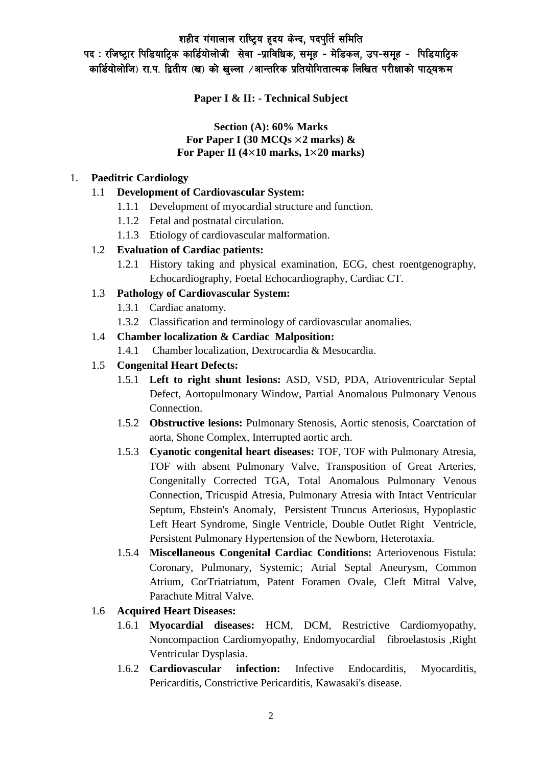पद : रजिष्ट्रार पिडियाट्रिक कार्डियोलोजी सेवा -प्राविधिक, समूह - मेडिकल, उप-समूह - पिडियाट्रिक कार्डियोलोजि) रा.प. द्वितीय (ख) को खल्ला ⁄आन्तरिक प्रतियोगितात्मक लिखित परीक्षाको पाठ्यक्रम

**Paper I & II: - Technical Subject**

#### **Section (A): 60% Marks For Paper I (30 MCQs** ×**2 marks) & For Paper II (4**×**10 marks, 1**×**20 marks)**

#### 1. **Paeditric Cardiology**

### 1.1 **Development of Cardiovascular System:**

- 1.1.1 Development of myocardial structure and function.
- 1.1.2 Fetal and postnatal circulation.
- 1.1.3 Etiology of cardiovascular malformation.

### 1.2 **Evaluation of Cardiac patients:**

1.2.1 History taking and physical examination, ECG, chest roentgenography, Echocardiography, Foetal Echocardiography, Cardiac CT.

### 1.3 **Pathology of Cardiovascular System:**

- 1.3.1 Cardiac anatomy.
- 1.3.2 Classification and terminology of cardiovascular anomalies.

### 1.4 **Chamber localization & Cardiac Malposition:**

1.4.1 Chamber localization, Dextrocardia & Mesocardia.

### 1.5 **Congenital Heart Defects:**

- 1.5.1 **Left to right shunt lesions:** ASD, VSD, PDA, Atrioventricular Septal Defect, Aortopulmonary Window, Partial Anomalous Pulmonary Venous Connection.
- 1.5.2 **Obstructive lesions:** Pulmonary Stenosis, Aortic stenosis, Coarctation of aorta, Shone Complex, Interrupted aortic arch.
- 1.5.3 **Cyanotic congenital heart diseases:** TOF, TOF with Pulmonary Atresia, TOF with absent Pulmonary Valve, Transposition of Great Arteries, Congenitally Corrected TGA, Total Anomalous Pulmonary Venous Connection, Tricuspid Atresia, Pulmonary Atresia with Intact Ventricular Septum, Ebstein's Anomaly, Persistent Truncus Arteriosus, Hypoplastic Left Heart Syndrome, Single Ventricle, Double Outlet Right Ventricle, Persistent Pulmonary Hypertension of the Newborn, Heterotaxia.
- 1.5.4 **Miscellaneous Congenital Cardiac Conditions:** Arteriovenous Fistula: Coronary, Pulmonary, Systemic; Atrial Septal Aneurysm, Common Atrium, CorTriatriatum, Patent Foramen Ovale, Cleft Mitral Valve, Parachute Mitral Valve.

# 1.6 **Acquired Heart Diseases:**

- 1.6.1 **Myocardial diseases:** HCM, DCM, Restrictive Cardiomyopathy, Noncompaction Cardiomyopathy, Endomyocardial fibroelastosis ,Right Ventricular Dysplasia.
- 1.6.2 **Cardiovascular infection:** Infective Endocarditis, Myocarditis, Pericarditis, Constrictive Pericarditis, Kawasaki's disease.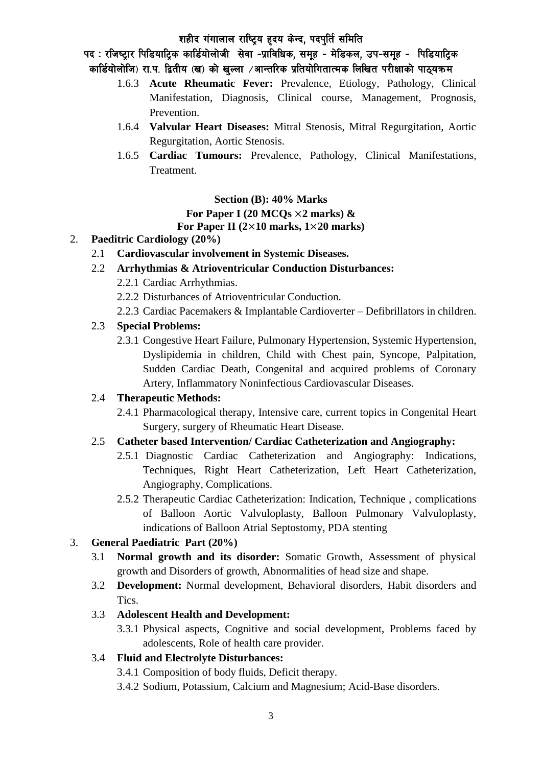पद : रजिष्ट्रार पिडियाट्रिक कार्डियोलोजी सेवा -प्राविधिक, समूह - मेडिकल, उप-समूह - पिडियाट्रिक कार्डियोलोजि) रा.प. द्वितीय (ख) को खल्ला ⁄आन्तरिक प्रतियोगितात्मक लिखित परीक्षाको पाठयक्रम

- 1.6.3 **Acute Rheumatic Fever:** Prevalence, Etiology, Pathology, Clinical Manifestation, Diagnosis, Clinical course, Management, Prognosis, Prevention.
- 1.6.4 **Valvular Heart Diseases:** Mitral Stenosis, Mitral Regurgitation, Aortic Regurgitation, Aortic Stenosis.
- 1.6.5 **Cardiac Tumours:** Prevalence, Pathology, Clinical Manifestations, Treatment.

#### **Section (B): 40% Marks**

### **For Paper I (20 MCQs** ×**2 marks) &**

### **For Paper II (2**×**10 marks, 1**×**20 marks)**

- 2. **Paeditric Cardiology (20%)**
	- 2.1 **Cardiovascular involvement in Systemic Diseases.**
	- 2.2 **Arrhythmias & Atrioventricular Conduction Disturbances:**
		- 2.2.1 Cardiac Arrhythmias.
		- 2.2.2 Disturbances of Atrioventricular Conduction.
		- 2.2.3 Cardiac Pacemakers & Implantable Cardioverter Defibrillators in children.

# 2.3 **Special Problems:**

2.3.1 Congestive Heart Failure, Pulmonary Hypertension, Systemic Hypertension, Dyslipidemia in children, Child with Chest pain, Syncope, Palpitation, Sudden Cardiac Death, Congenital and acquired problems of Coronary Artery, Inflammatory Noninfectious Cardiovascular Diseases.

# 2.4 **Therapeutic Methods:**

2.4.1 Pharmacological therapy, Intensive care, current topics in Congenital Heart Surgery, surgery of Rheumatic Heart Disease.

# 2.5 **Catheter based Intervention/ Cardiac Catheterization and Angiography:**

- 2.5.1 Diagnostic Cardiac Catheterization and Angiography: Indications, Techniques, Right Heart Catheterization, Left Heart Catheterization, Angiography, Complications.
- 2.5.2 Therapeutic Cardiac Catheterization: Indication, Technique , complications of Balloon Aortic Valvuloplasty, Balloon Pulmonary Valvuloplasty, indications of Balloon Atrial Septostomy, PDA stenting

# 3. **General Paediatric Part (20%)**

- 3.1 **Normal growth and its disorder:** Somatic Growth, Assessment of physical growth and Disorders of growth, Abnormalities of head size and shape.
- 3.2 **Development:** Normal development, Behavioral disorders, Habit disorders and Tics.

# 3.3 **Adolescent Health and Development:**

3.3.1 Physical aspects, Cognitive and social development, Problems faced by adolescents, Role of health care provider.

# 3.4 **Fluid and Electrolyte Disturbances:**

- 3.4.1 Composition of body fluids, Deficit therapy.
- 3.4.2 Sodium, Potassium, Calcium and Magnesium; Acid-Base disorders.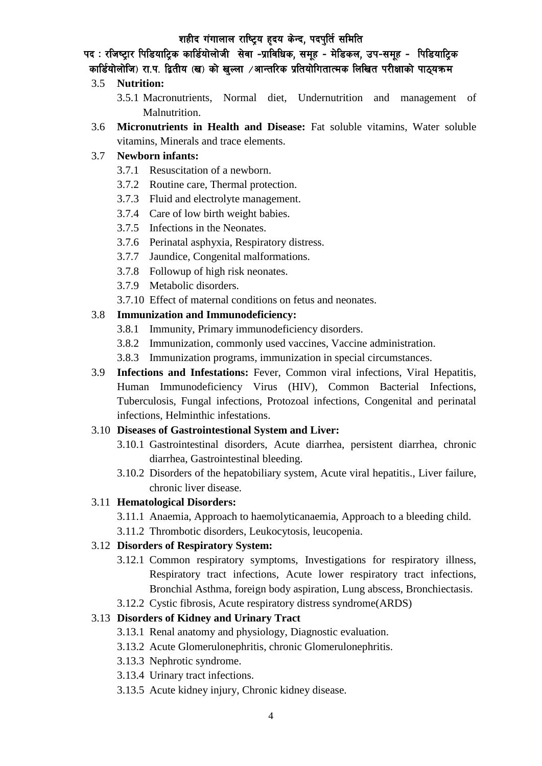पद : रजिष्ट्रार पिडियाट्रिक कार्डियोलोजी सेवा -प्राविधिक, समूह - मेडिकल, उप-समूह - पिडियाट्रिक कार्डियोलोजि) रा.प. द्वितीय (ख) को खल्ला ⁄आन्तरिक प्रतियोगितात्मक लिखित परीक्षाको पाठ्यक्रम

### 3.5 **Nutrition:**

- 3.5.1 Macronutrients, Normal diet, Undernutrition and management of Malnutrition.
- 3.6 **Micronutrients in Health and Disease:** Fat soluble vitamins, Water soluble vitamins, Minerals and trace elements.

### 3.7 **Newborn infants:**

- 3.7.1 Resuscitation of a newborn.
- 3.7.2 Routine care, Thermal protection.
- 3.7.3 Fluid and electrolyte management.
- 3.7.4 Care of low birth weight babies.
- 3.7.5 Infections in the Neonates.
- 3.7.6 Perinatal asphyxia, Respiratory distress.
- 3.7.7 Jaundice, Congenital malformations.
- 3.7.8 Followup of high risk neonates.
- 3.7.9 Metabolic disorders.
- 3.7.10 Effect of maternal conditions on fetus and neonates.

### 3.8 **Immunization and Immunodeficiency:**

- 3.8.1 Immunity, Primary immunodeficiency disorders.
- 3.8.2 Immunization, commonly used vaccines, Vaccine administration.
- 3.8.3 Immunization programs, immunization in special circumstances.
- 3.9 **Infections and Infestations:** Fever, Common viral infections, Viral Hepatitis, Human Immunodeficiency Virus (HIV), Common Bacterial Infections, Tuberculosis, Fungal infections, Protozoal infections, Congenital and perinatal infections, Helminthic infestations.

#### 3.10 **Diseases of Gastrointestional System and Liver:**

- 3.10.1 Gastrointestinal disorders, Acute diarrhea, persistent diarrhea, chronic diarrhea, Gastrointestinal bleeding.
- 3.10.2 Disorders of the hepatobiliary system, Acute viral hepatitis., Liver failure, chronic liver disease.

# 3.11 **Hematological Disorders:**

- 3.11.1 Anaemia, Approach to haemolyticanaemia, Approach to a bleeding child.
- 3.11.2 Thrombotic disorders, Leukocytosis, leucopenia.

# 3.12 **Disorders of Respiratory System:**

- 3.12.1 Common respiratory symptoms, Investigations for respiratory illness, Respiratory tract infections, Acute lower respiratory tract infections, Bronchial Asthma, foreign body aspiration, Lung abscess, Bronchiectasis.
- 3.12.2 Cystic fibrosis, Acute respiratory distress syndrome(ARDS)

# 3.13 **Disorders of Kidney and Urinary Tract**

- 3.13.1 Renal anatomy and physiology, Diagnostic evaluation.
- 3.13.2 Acute Glomerulonephritis, chronic Glomerulonephritis.
- 3.13.3 Nephrotic syndrome.
- 3.13.4 Urinary tract infections.
- 3.13.5 Acute kidney injury, Chronic kidney disease.